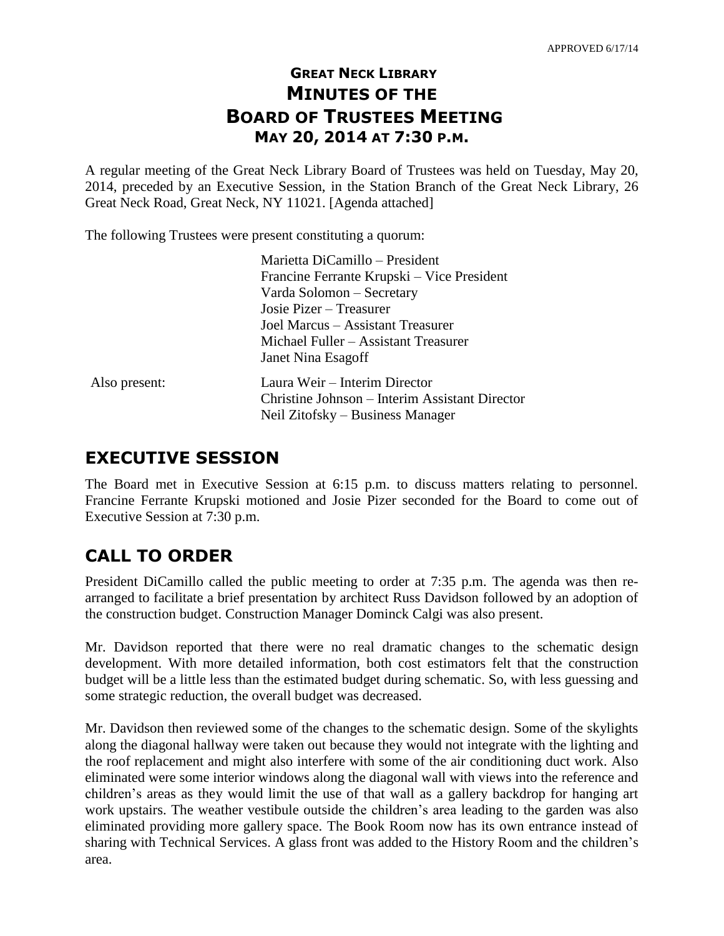## **GREAT NECK LIBRARY MINUTES OF THE BOARD OF TRUSTEES MEETING MAY 20, 2014 AT 7:30 P.M.**

A regular meeting of the Great Neck Library Board of Trustees was held on Tuesday, May 20, 2014, preceded by an Executive Session, in the Station Branch of the Great Neck Library, 26 Great Neck Road, Great Neck, NY 11021. [Agenda attached]

The following Trustees were present constituting a quorum:

|               | Marietta DiCamillo – President                 |
|---------------|------------------------------------------------|
|               | Francine Ferrante Krupski – Vice President     |
|               | Varda Solomon - Secretary                      |
|               | Josie Pizer – Treasurer                        |
|               | Joel Marcus – Assistant Treasurer              |
|               | Michael Fuller – Assistant Treasurer           |
|               | Janet Nina Esagoff                             |
| Also present: | Laura Weir – Interim Director                  |
|               | Christine Johnson – Interim Assistant Director |
|               | Neil Zitofsky – Business Manager               |
|               |                                                |

## **EXECUTIVE SESSION**

The Board met in Executive Session at 6:15 p.m. to discuss matters relating to personnel. Francine Ferrante Krupski motioned and Josie Pizer seconded for the Board to come out of Executive Session at 7:30 p.m.

## **CALL TO ORDER**

President DiCamillo called the public meeting to order at 7:35 p.m. The agenda was then rearranged to facilitate a brief presentation by architect Russ Davidson followed by an adoption of the construction budget. Construction Manager Dominck Calgi was also present.

Mr. Davidson reported that there were no real dramatic changes to the schematic design development. With more detailed information, both cost estimators felt that the construction budget will be a little less than the estimated budget during schematic. So, with less guessing and some strategic reduction, the overall budget was decreased.

Mr. Davidson then reviewed some of the changes to the schematic design. Some of the skylights along the diagonal hallway were taken out because they would not integrate with the lighting and the roof replacement and might also interfere with some of the air conditioning duct work. Also eliminated were some interior windows along the diagonal wall with views into the reference and children's areas as they would limit the use of that wall as a gallery backdrop for hanging art work upstairs. The weather vestibule outside the children's area leading to the garden was also eliminated providing more gallery space. The Book Room now has its own entrance instead of sharing with Technical Services. A glass front was added to the History Room and the children's area.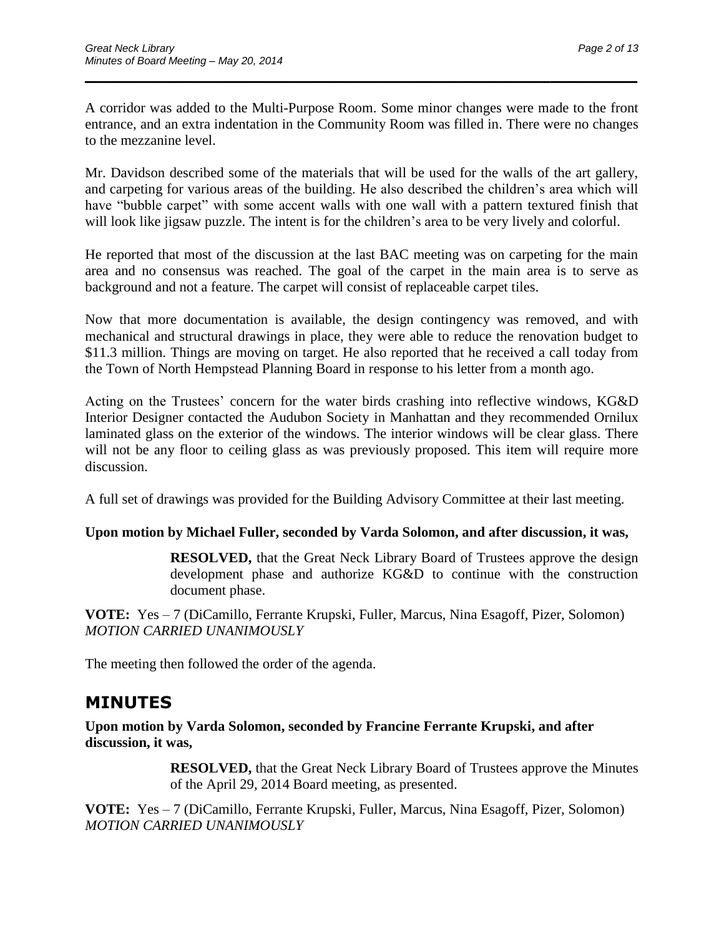A corridor was added to the Multi-Purpose Room. Some minor changes were made to the front entrance, and an extra indentation in the Community Room was filled in. There were no changes to the mezzanine level.

 $\overline{\phantom{a}}$  , and the contract of the contract of the contract of the contract of the contract of the contract of the contract of the contract of the contract of the contract of the contract of the contract of the contrac

Mr. Davidson described some of the materials that will be used for the walls of the art gallery, and carpeting for various areas of the building. He also described the children's area which will have "bubble carpet" with some accent walls with one wall with a pattern textured finish that will look like jigsaw puzzle. The intent is for the children's area to be very lively and colorful.

He reported that most of the discussion at the last BAC meeting was on carpeting for the main area and no consensus was reached. The goal of the carpet in the main area is to serve as background and not a feature. The carpet will consist of replaceable carpet tiles.

Now that more documentation is available, the design contingency was removed, and with mechanical and structural drawings in place, they were able to reduce the renovation budget to \$11.3 million. Things are moving on target. He also reported that he received a call today from the Town of North Hempstead Planning Board in response to his letter from a month ago.

Acting on the Trustees' concern for the water birds crashing into reflective windows, KG&D Interior Designer contacted the Audubon Society in Manhattan and they recommended Ornilux laminated glass on the exterior of the windows. The interior windows will be clear glass. There will not be any floor to ceiling glass as was previously proposed. This item will require more discussion.

A full set of drawings was provided for the Building Advisory Committee at their last meeting.

#### **Upon motion by Michael Fuller, seconded by Varda Solomon, and after discussion, it was,**

**RESOLVED,** that the Great Neck Library Board of Trustees approve the design development phase and authorize KG&D to continue with the construction document phase.

**VOTE:** Yes – 7 (DiCamillo, Ferrante Krupski, Fuller, Marcus, Nina Esagoff, Pizer, Solomon) *MOTION CARRIED UNANIMOUSLY* 

The meeting then followed the order of the agenda.

## **MINUTES**

**Upon motion by Varda Solomon, seconded by Francine Ferrante Krupski, and after discussion, it was,**

> **RESOLVED,** that the Great Neck Library Board of Trustees approve the Minutes of the April 29, 2014 Board meeting, as presented.

**VOTE:** Yes – 7 (DiCamillo, Ferrante Krupski, Fuller, Marcus, Nina Esagoff, Pizer, Solomon) *MOTION CARRIED UNANIMOUSLY*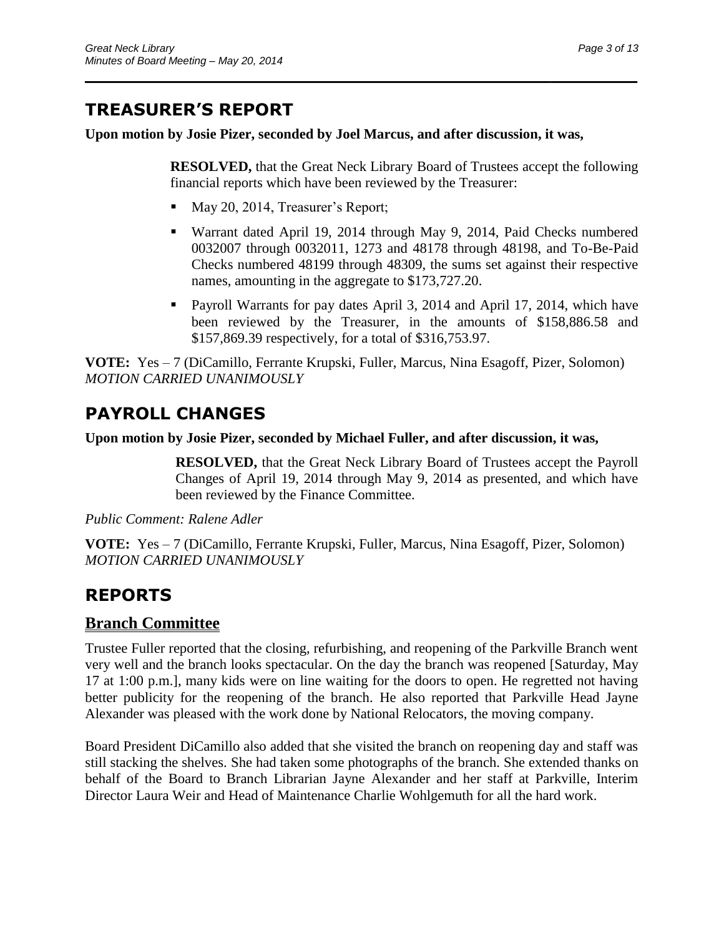# **TREASURER'S REPORT**

**Upon motion by Josie Pizer, seconded by Joel Marcus, and after discussion, it was,**

 $\overline{\phantom{a}}$  , and the contract of the contract of the contract of the contract of the contract of the contract of the contract of the contract of the contract of the contract of the contract of the contract of the contrac

**RESOLVED,** that the Great Neck Library Board of Trustees accept the following financial reports which have been reviewed by the Treasurer:

- May 20, 2014, Treasurer's Report;
- Warrant dated April 19, 2014 through May 9, 2014, Paid Checks numbered 0032007 through 0032011, 1273 and 48178 through 48198, and To-Be-Paid Checks numbered 48199 through 48309, the sums set against their respective names, amounting in the aggregate to \$173,727.20.
- **Payroll Warrants for pay dates April 3, 2014 and April 17, 2014, which have** been reviewed by the Treasurer, in the amounts of \$158,886.58 and \$157,869.39 respectively, for a total of \$316,753.97.

**VOTE:** Yes – 7 (DiCamillo, Ferrante Krupski, Fuller, Marcus, Nina Esagoff, Pizer, Solomon) *MOTION CARRIED UNANIMOUSLY*

# **PAYROLL CHANGES**

**Upon motion by Josie Pizer, seconded by Michael Fuller, and after discussion, it was,**

**RESOLVED,** that the Great Neck Library Board of Trustees accept the Payroll Changes of April 19, 2014 through May 9, 2014 as presented, and which have been reviewed by the Finance Committee.

*Public Comment: Ralene Adler*

**VOTE:** Yes – 7 (DiCamillo, Ferrante Krupski, Fuller, Marcus, Nina Esagoff, Pizer, Solomon) *MOTION CARRIED UNANIMOUSLY*

# **REPORTS**

## **Branch Committee**

Trustee Fuller reported that the closing, refurbishing, and reopening of the Parkville Branch went very well and the branch looks spectacular. On the day the branch was reopened [Saturday, May 17 at 1:00 p.m.], many kids were on line waiting for the doors to open. He regretted not having better publicity for the reopening of the branch. He also reported that Parkville Head Jayne Alexander was pleased with the work done by National Relocators, the moving company.

Board President DiCamillo also added that she visited the branch on reopening day and staff was still stacking the shelves. She had taken some photographs of the branch. She extended thanks on behalf of the Board to Branch Librarian Jayne Alexander and her staff at Parkville, Interim Director Laura Weir and Head of Maintenance Charlie Wohlgemuth for all the hard work.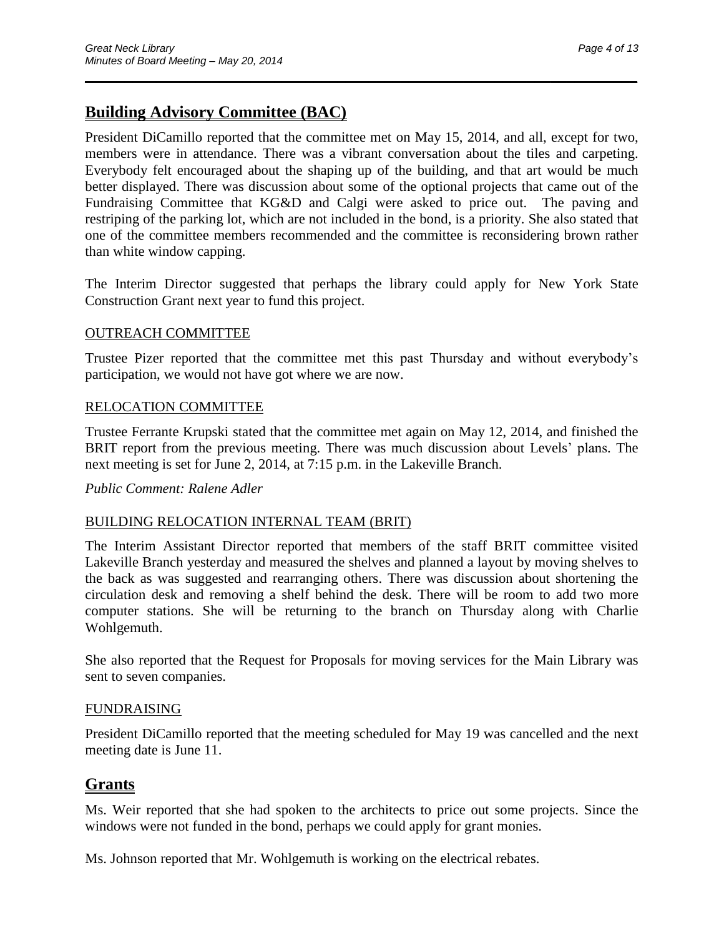## **Building Advisory Committee (BAC)**

President DiCamillo reported that the committee met on May 15, 2014, and all, except for two, members were in attendance. There was a vibrant conversation about the tiles and carpeting. Everybody felt encouraged about the shaping up of the building, and that art would be much better displayed. There was discussion about some of the optional projects that came out of the Fundraising Committee that KG&D and Calgi were asked to price out. The paving and restriping of the parking lot, which are not included in the bond, is a priority. She also stated that one of the committee members recommended and the committee is reconsidering brown rather than white window capping.

 $\overline{\phantom{a}}$  , and the contract of the contract of the contract of the contract of the contract of the contract of the contract of the contract of the contract of the contract of the contract of the contract of the contrac

The Interim Director suggested that perhaps the library could apply for New York State Construction Grant next year to fund this project.

#### OUTREACH COMMITTEE

Trustee Pizer reported that the committee met this past Thursday and without everybody's participation, we would not have got where we are now.

#### RELOCATION COMMITTEE

Trustee Ferrante Krupski stated that the committee met again on May 12, 2014, and finished the BRIT report from the previous meeting. There was much discussion about Levels' plans. The next meeting is set for June 2, 2014, at 7:15 p.m. in the Lakeville Branch.

*Public Comment: Ralene Adler*

#### BUILDING RELOCATION INTERNAL TEAM (BRIT)

The Interim Assistant Director reported that members of the staff BRIT committee visited Lakeville Branch yesterday and measured the shelves and planned a layout by moving shelves to the back as was suggested and rearranging others. There was discussion about shortening the circulation desk and removing a shelf behind the desk. There will be room to add two more computer stations. She will be returning to the branch on Thursday along with Charlie Wohlgemuth.

She also reported that the Request for Proposals for moving services for the Main Library was sent to seven companies.

#### FUNDRAISING

President DiCamillo reported that the meeting scheduled for May 19 was cancelled and the next meeting date is June 11.

### **Grants**

Ms. Weir reported that she had spoken to the architects to price out some projects. Since the windows were not funded in the bond, perhaps we could apply for grant monies.

Ms. Johnson reported that Mr. Wohlgemuth is working on the electrical rebates.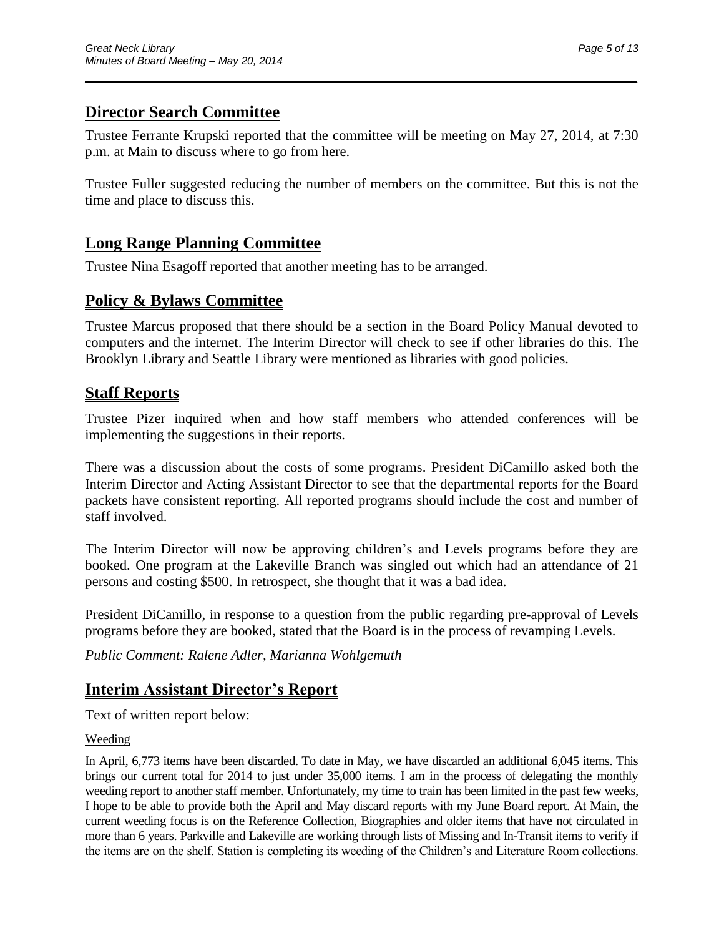## **Director Search Committee**

Trustee Ferrante Krupski reported that the committee will be meeting on May 27, 2014, at 7:30 p.m. at Main to discuss where to go from here.

 $\overline{\phantom{a}}$  , and the contract of the contract of the contract of the contract of the contract of the contract of the contract of the contract of the contract of the contract of the contract of the contract of the contrac

Trustee Fuller suggested reducing the number of members on the committee. But this is not the time and place to discuss this.

## **Long Range Planning Committee**

Trustee Nina Esagoff reported that another meeting has to be arranged.

## **Policy & Bylaws Committee**

Trustee Marcus proposed that there should be a section in the Board Policy Manual devoted to computers and the internet. The Interim Director will check to see if other libraries do this. The Brooklyn Library and Seattle Library were mentioned as libraries with good policies.

### **Staff Reports**

Trustee Pizer inquired when and how staff members who attended conferences will be implementing the suggestions in their reports.

There was a discussion about the costs of some programs. President DiCamillo asked both the Interim Director and Acting Assistant Director to see that the departmental reports for the Board packets have consistent reporting. All reported programs should include the cost and number of staff involved.

The Interim Director will now be approving children's and Levels programs before they are booked. One program at the Lakeville Branch was singled out which had an attendance of 21 persons and costing \$500. In retrospect, she thought that it was a bad idea.

President DiCamillo, in response to a question from the public regarding pre-approval of Levels programs before they are booked, stated that the Board is in the process of revamping Levels.

*Public Comment: Ralene Adler, Marianna Wohlgemuth*

## **Interim Assistant Director's Report**

Text of written report below:

#### Weeding

In April, 6,773 items have been discarded. To date in May, we have discarded an additional 6,045 items. This brings our current total for 2014 to just under 35,000 items. I am in the process of delegating the monthly weeding report to another staff member. Unfortunately, my time to train has been limited in the past few weeks, I hope to be able to provide both the April and May discard reports with my June Board report. At Main, the current weeding focus is on the Reference Collection, Biographies and older items that have not circulated in more than 6 years. Parkville and Lakeville are working through lists of Missing and In-Transit items to verify if the items are on the shelf. Station is completing its weeding of the Children's and Literature Room collections.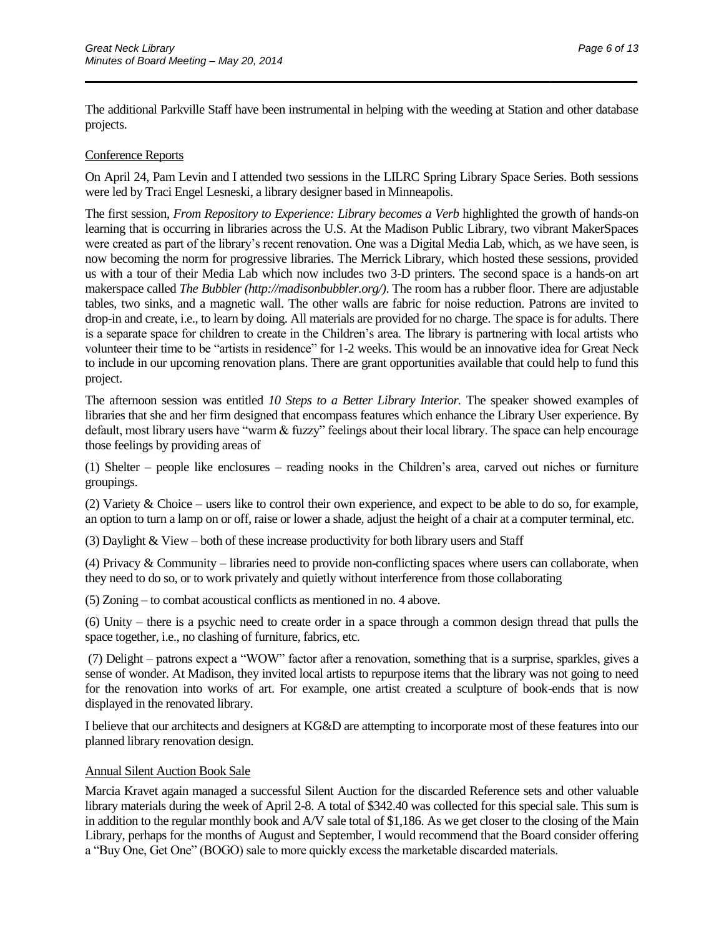The additional Parkville Staff have been instrumental in helping with the weeding at Station and other database projects.

 $\overline{\phantom{a}}$  , and the contract of the contract of the contract of the contract of the contract of the contract of the contract of the contract of the contract of the contract of the contract of the contract of the contrac

#### Conference Reports

On April 24, Pam Levin and I attended two sessions in the LILRC Spring Library Space Series. Both sessions were led by Traci Engel Lesneski, a library designer based in Minneapolis.

The first session, *From Repository to Experience: Library becomes a Verb* highlighted the growth of hands-on learning that is occurring in libraries across the U.S. At the Madison Public Library, two vibrant MakerSpaces were created as part of the library's recent renovation. One was a Digital Media Lab, which, as we have seen, is now becoming the norm for progressive libraries. The Merrick Library, which hosted these sessions, provided us with a tour of their Media Lab which now includes two 3-D printers. The second space is a hands-on art makerspace called *The Bubbler (http://madisonbubbler.org/)*. The room has a rubber floor. There are adjustable tables, two sinks, and a magnetic wall. The other walls are fabric for noise reduction. Patrons are invited to drop-in and create, i.e., to learn by doing. All materials are provided for no charge. The space is for adults. There is a separate space for children to create in the Children's area. The library is partnering with local artists who volunteer their time to be "artists in residence" for 1-2 weeks. This would be an innovative idea for Great Neck to include in our upcoming renovation plans. There are grant opportunities available that could help to fund this project.

The afternoon session was entitled *10 Steps to a Better Library Interior.* The speaker showed examples of libraries that she and her firm designed that encompass features which enhance the Library User experience. By default, most library users have "warm & fuzzy" feelings about their local library. The space can help encourage those feelings by providing areas of

(1) Shelter – people like enclosures – reading nooks in the Children's area, carved out niches or furniture groupings.

(2) Variety & Choice – users like to control their own experience, and expect to be able to do so, for example, an option to turn a lamp on or off, raise or lower a shade, adjust the height of a chair at a computer terminal, etc.

(3) Daylight & View – both of these increase productivity for both library users and Staff

(4) Privacy & Community – libraries need to provide non-conflicting spaces where users can collaborate, when they need to do so, or to work privately and quietly without interference from those collaborating

(5) Zoning – to combat acoustical conflicts as mentioned in no. 4 above.

(6) Unity – there is a psychic need to create order in a space through a common design thread that pulls the space together, i.e., no clashing of furniture, fabrics, etc.

(7) Delight – patrons expect a "WOW" factor after a renovation, something that is a surprise, sparkles, gives a sense of wonder. At Madison, they invited local artists to repurpose items that the library was not going to need for the renovation into works of art. For example, one artist created a sculpture of book-ends that is now displayed in the renovated library.

I believe that our architects and designers at KG&D are attempting to incorporate most of these features into our planned library renovation design.

#### Annual Silent Auction Book Sale

Marcia Kravet again managed a successful Silent Auction for the discarded Reference sets and other valuable library materials during the week of April 2-8. A total of \$342.40 was collected for this special sale. This sum is in addition to the regular monthly book and A/V sale total of \$1,186. As we get closer to the closing of the Main Library, perhaps for the months of August and September, I would recommend that the Board consider offering a "Buy One, Get One" (BOGO) sale to more quickly excess the marketable discarded materials.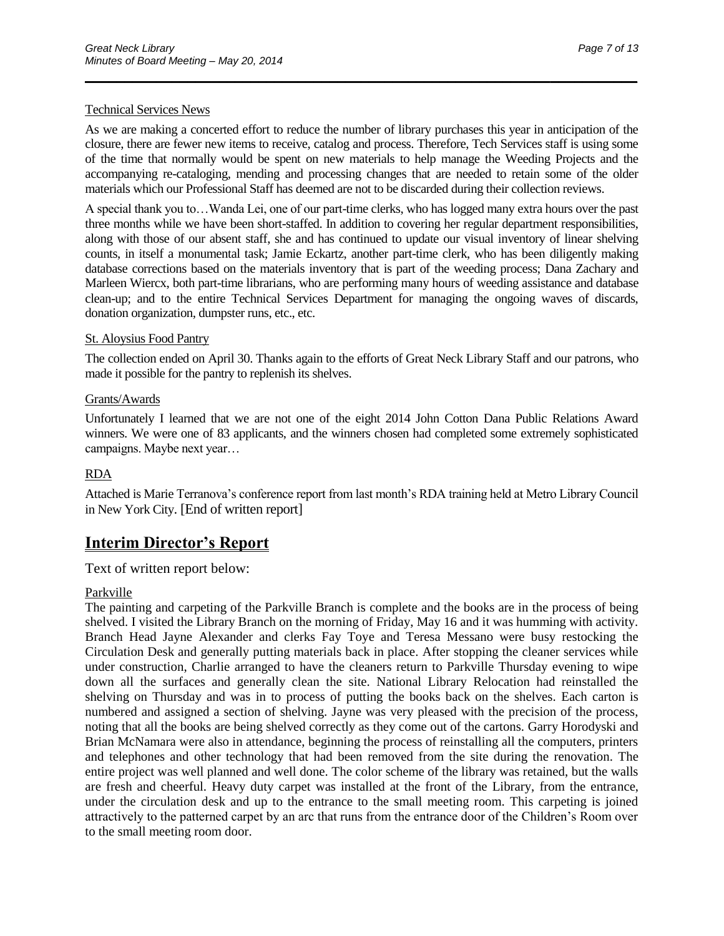#### Technical Services News

As we are making a concerted effort to reduce the number of library purchases this year in anticipation of the closure, there are fewer new items to receive, catalog and process. Therefore, Tech Services staff is using some of the time that normally would be spent on new materials to help manage the Weeding Projects and the accompanying re-cataloging, mending and processing changes that are needed to retain some of the older materials which our Professional Staff has deemed are not to be discarded during their collection reviews.

 $\overline{\phantom{a}}$  , and the contract of the contract of the contract of the contract of the contract of the contract of the contract of the contract of the contract of the contract of the contract of the contract of the contrac

A special thank you to…Wanda Lei, one of our part-time clerks, who has logged many extra hours over the past three months while we have been short-staffed. In addition to covering her regular department responsibilities, along with those of our absent staff, she and has continued to update our visual inventory of linear shelving counts, in itself a monumental task; Jamie Eckartz, another part-time clerk, who has been diligently making database corrections based on the materials inventory that is part of the weeding process; Dana Zachary and Marleen Wiercx, both part-time librarians, who are performing many hours of weeding assistance and database clean-up; and to the entire Technical Services Department for managing the ongoing waves of discards, donation organization, dumpster runs, etc., etc.

#### St. Aloysius Food Pantry

The collection ended on April 30. Thanks again to the efforts of Great Neck Library Staff and our patrons, who made it possible for the pantry to replenish its shelves.

#### Grants/Awards

Unfortunately I learned that we are not one of the eight 2014 John Cotton Dana Public Relations Award winners. We were one of 83 applicants, and the winners chosen had completed some extremely sophisticated campaigns. Maybe next year…

#### RDA

Attached is Marie Terranova's conference report from last month's RDA training held at Metro Library Council in New York City. [End of written report]

### **Interim Director's Report**

Text of written report below:

#### Parkville

The painting and carpeting of the Parkville Branch is complete and the books are in the process of being shelved. I visited the Library Branch on the morning of Friday, May 16 and it was humming with activity. Branch Head Jayne Alexander and clerks Fay Toye and Teresa Messano were busy restocking the Circulation Desk and generally putting materials back in place. After stopping the cleaner services while under construction, Charlie arranged to have the cleaners return to Parkville Thursday evening to wipe down all the surfaces and generally clean the site. National Library Relocation had reinstalled the shelving on Thursday and was in to process of putting the books back on the shelves. Each carton is numbered and assigned a section of shelving. Jayne was very pleased with the precision of the process, noting that all the books are being shelved correctly as they come out of the cartons. Garry Horodyski and Brian McNamara were also in attendance, beginning the process of reinstalling all the computers, printers and telephones and other technology that had been removed from the site during the renovation. The entire project was well planned and well done. The color scheme of the library was retained, but the walls are fresh and cheerful. Heavy duty carpet was installed at the front of the Library, from the entrance, under the circulation desk and up to the entrance to the small meeting room. This carpeting is joined attractively to the patterned carpet by an arc that runs from the entrance door of the Children's Room over to the small meeting room door.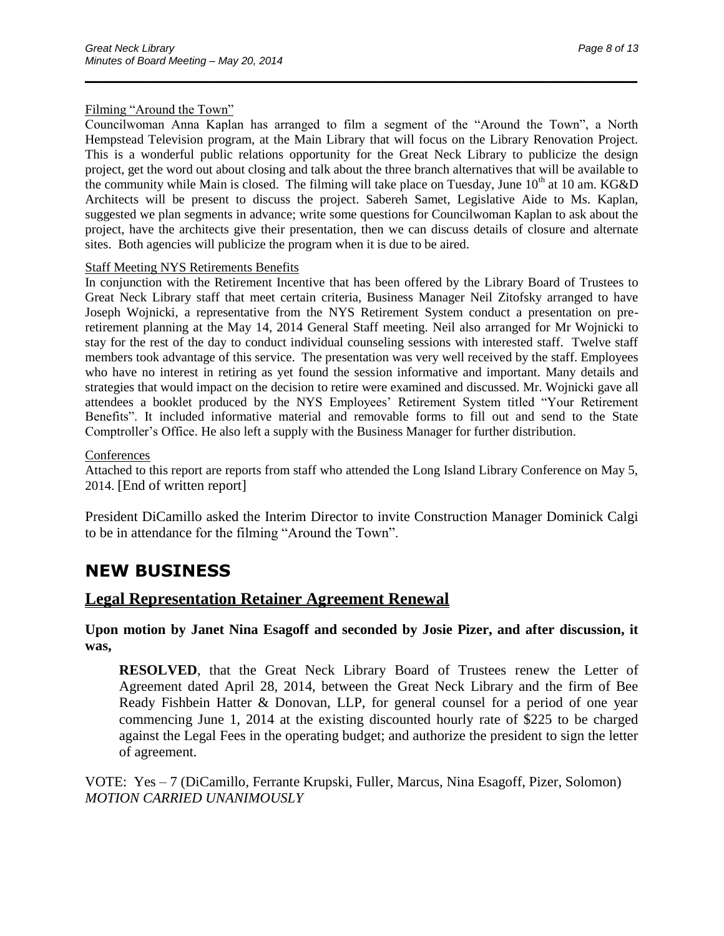#### Filming "Around the Town"

Councilwoman Anna Kaplan has arranged to film a segment of the "Around the Town", a North Hempstead Television program, at the Main Library that will focus on the Library Renovation Project. This is a wonderful public relations opportunity for the Great Neck Library to publicize the design project, get the word out about closing and talk about the three branch alternatives that will be available to the community while Main is closed. The filming will take place on Tuesday, June  $10<sup>th</sup>$  at 10 am. KG&D Architects will be present to discuss the project. Sabereh Samet, Legislative Aide to Ms. Kaplan, suggested we plan segments in advance; write some questions for Councilwoman Kaplan to ask about the project, have the architects give their presentation, then we can discuss details of closure and alternate sites. Both agencies will publicize the program when it is due to be aired.

 $\overline{\phantom{a}}$  , and the contract of the contract of the contract of the contract of the contract of the contract of the contract of the contract of the contract of the contract of the contract of the contract of the contrac

#### Staff Meeting NYS Retirements Benefits

In conjunction with the Retirement Incentive that has been offered by the Library Board of Trustees to Great Neck Library staff that meet certain criteria, Business Manager Neil Zitofsky arranged to have Joseph Wojnicki, a representative from the NYS Retirement System conduct a presentation on preretirement planning at the May 14, 2014 General Staff meeting. Neil also arranged for Mr Wojnicki to stay for the rest of the day to conduct individual counseling sessions with interested staff. Twelve staff members took advantage of this service. The presentation was very well received by the staff. Employees who have no interest in retiring as yet found the session informative and important. Many details and strategies that would impact on the decision to retire were examined and discussed. Mr. Wojnicki gave all attendees a booklet produced by the NYS Employees' Retirement System titled "Your Retirement Benefits". It included informative material and removable forms to fill out and send to the State Comptroller's Office. He also left a supply with the Business Manager for further distribution.

#### **Conferences**

Attached to this report are reports from staff who attended the Long Island Library Conference on May 5, 2014. [End of written report]

President DiCamillo asked the Interim Director to invite Construction Manager Dominick Calgi to be in attendance for the filming "Around the Town".

# **NEW BUSINESS**

### **Legal Representation Retainer Agreement Renewal**

**Upon motion by Janet Nina Esagoff and seconded by Josie Pizer, and after discussion, it was,**

**RESOLVED**, that the Great Neck Library Board of Trustees renew the Letter of Agreement dated April 28, 2014, between the Great Neck Library and the firm of Bee Ready Fishbein Hatter & Donovan, LLP, for general counsel for a period of one year commencing June 1, 2014 at the existing discounted hourly rate of \$225 to be charged against the Legal Fees in the operating budget; and authorize the president to sign the letter of agreement.

VOTE: Yes – 7 (DiCamillo, Ferrante Krupski, Fuller, Marcus, Nina Esagoff, Pizer, Solomon) *MOTION CARRIED UNANIMOUSLY*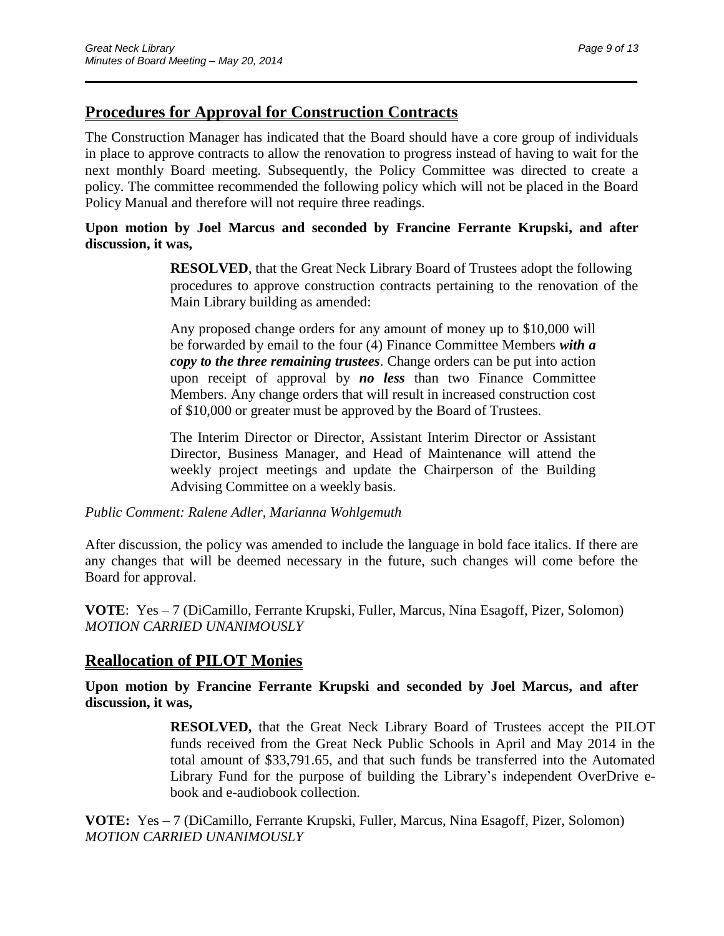## **Procedures for Approval for Construction Contracts**

The Construction Manager has indicated that the Board should have a core group of individuals in place to approve contracts to allow the renovation to progress instead of having to wait for the next monthly Board meeting. Subsequently, the Policy Committee was directed to create a policy. The committee recommended the following policy which will not be placed in the Board Policy Manual and therefore will not require three readings.

 $\overline{\phantom{a}}$  , and the contract of the contract of the contract of the contract of the contract of the contract of the contract of the contract of the contract of the contract of the contract of the contract of the contrac

### **Upon motion by Joel Marcus and seconded by Francine Ferrante Krupski, and after discussion, it was,**

**RESOLVED**, that the Great Neck Library Board of Trustees adopt the following procedures to approve construction contracts pertaining to the renovation of the Main Library building as amended:

Any proposed change orders for any amount of money up to \$10,000 will be forwarded by email to the four (4) Finance Committee Members *with a copy to the three remaining trustees*. Change orders can be put into action upon receipt of approval by *no less* than two Finance Committee Members. Any change orders that will result in increased construction cost of \$10,000 or greater must be approved by the Board of Trustees.

The Interim Director or Director, Assistant Interim Director or Assistant Director, Business Manager, and Head of Maintenance will attend the weekly project meetings and update the Chairperson of the Building Advising Committee on a weekly basis.

*Public Comment: Ralene Adler, Marianna Wohlgemuth*

After discussion, the policy was amended to include the language in bold face italics. If there are any changes that will be deemed necessary in the future, such changes will come before the Board for approval.

**VOTE**: Yes – 7 (DiCamillo, Ferrante Krupski, Fuller, Marcus, Nina Esagoff, Pizer, Solomon) *MOTION CARRIED UNANIMOUSLY*

## **Reallocation of PILOT Monies**

**Upon motion by Francine Ferrante Krupski and seconded by Joel Marcus, and after discussion, it was,**

> **RESOLVED,** that the Great Neck Library Board of Trustees accept the PILOT funds received from the Great Neck Public Schools in April and May 2014 in the total amount of \$33,791.65, and that such funds be transferred into the Automated Library Fund for the purpose of building the Library's independent OverDrive ebook and e-audiobook collection.

**VOTE:** Yes – 7 (DiCamillo, Ferrante Krupski, Fuller, Marcus, Nina Esagoff, Pizer, Solomon) *MOTION CARRIED UNANIMOUSLY*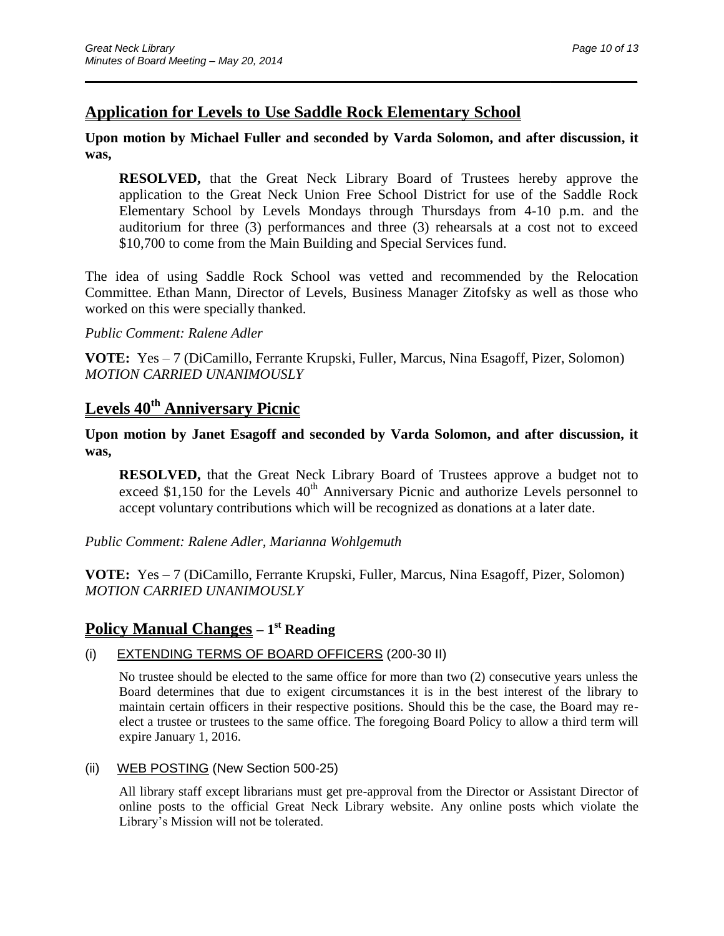## **Application for Levels to Use Saddle Rock Elementary School**

### **Upon motion by Michael Fuller and seconded by Varda Solomon, and after discussion, it was,**

 $\overline{\phantom{a}}$  , and the contract of the contract of the contract of the contract of the contract of the contract of the contract of the contract of the contract of the contract of the contract of the contract of the contrac

**RESOLVED,** that the Great Neck Library Board of Trustees hereby approve the application to the Great Neck Union Free School District for use of the Saddle Rock Elementary School by Levels Mondays through Thursdays from 4-10 p.m. and the auditorium for three (3) performances and three (3) rehearsals at a cost not to exceed \$10,700 to come from the Main Building and Special Services fund.

The idea of using Saddle Rock School was vetted and recommended by the Relocation Committee. Ethan Mann, Director of Levels, Business Manager Zitofsky as well as those who worked on this were specially thanked.

#### *Public Comment: Ralene Adler*

**VOTE:** Yes – 7 (DiCamillo, Ferrante Krupski, Fuller, Marcus, Nina Esagoff, Pizer, Solomon) *MOTION CARRIED UNANIMOUSLY*

## **Levels 40th Anniversary Picnic**

#### **Upon motion by Janet Esagoff and seconded by Varda Solomon, and after discussion, it was,**

**RESOLVED,** that the Great Neck Library Board of Trustees approve a budget not to exceed  $$1,150$  for the Levels  $40<sup>th</sup>$  Anniversary Picnic and authorize Levels personnel to accept voluntary contributions which will be recognized as donations at a later date.

*Public Comment: Ralene Adler, Marianna Wohlgemuth*

**VOTE:** Yes – 7 (DiCamillo, Ferrante Krupski, Fuller, Marcus, Nina Esagoff, Pizer, Solomon) *MOTION CARRIED UNANIMOUSLY*

### **Policy Manual Changes – 1 st Reading**

### (i) EXTENDING TERMS OF BOARD OFFICERS (200-30 II)

No trustee should be elected to the same office for more than two (2) consecutive years unless the Board determines that due to exigent circumstances it is in the best interest of the library to maintain certain officers in their respective positions. Should this be the case, the Board may reelect a trustee or trustees to the same office. The foregoing Board Policy to allow a third term will expire January 1, 2016.

(ii) WEB POSTING (New Section 500-25)

All library staff except librarians must get pre-approval from the Director or Assistant Director of online posts to the official Great Neck Library website. Any online posts which violate the Library's Mission will not be tolerated.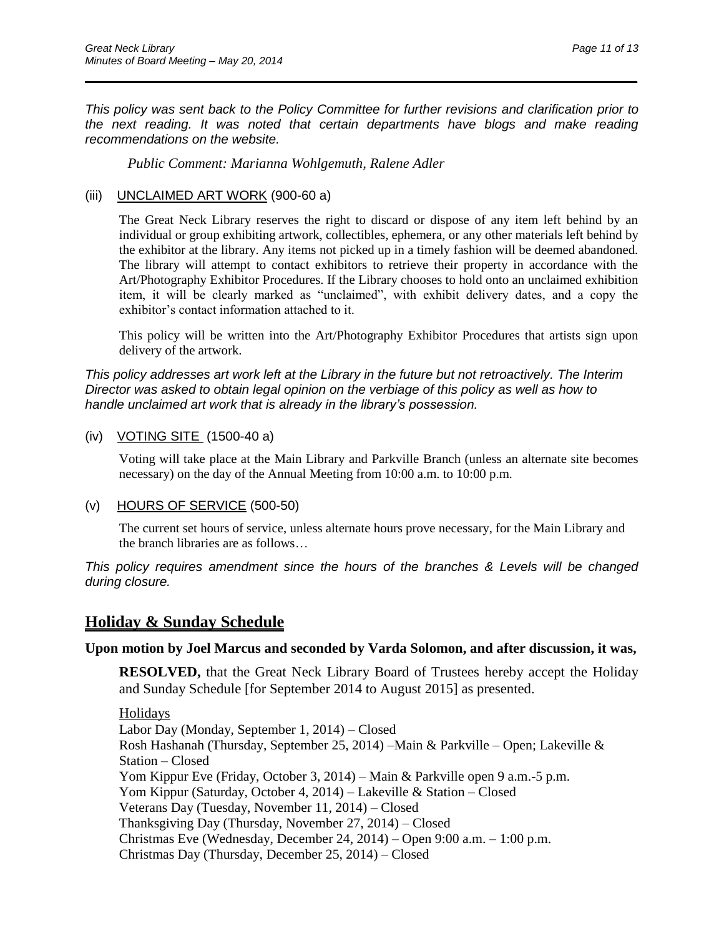*This policy was sent back to the Policy Committee for further revisions and clarification prior to the next reading. It was noted that certain departments have blogs and make reading recommendations on the website.*

 $\overline{\phantom{a}}$  , and the contract of the contract of the contract of the contract of the contract of the contract of the contract of the contract of the contract of the contract of the contract of the contract of the contrac

*Public Comment: Marianna Wohlgemuth, Ralene Adler*

#### (iii) UNCLAIMED ART WORK (900-60 a)

The Great Neck Library reserves the right to discard or dispose of any item left behind by an individual or group exhibiting artwork, collectibles, ephemera, or any other materials left behind by the exhibitor at the library. Any items not picked up in a timely fashion will be deemed abandoned. The library will attempt to contact exhibitors to retrieve their property in accordance with the Art/Photography Exhibitor Procedures. If the Library chooses to hold onto an unclaimed exhibition item, it will be clearly marked as "unclaimed", with exhibit delivery dates, and a copy the exhibitor's contact information attached to it.

This policy will be written into the Art/Photography Exhibitor Procedures that artists sign upon delivery of the artwork.

*This policy addresses art work left at the Library in the future but not retroactively. The Interim Director was asked to obtain legal opinion on the verbiage of this policy as well as how to handle unclaimed art work that is already in the library's possession.*

#### (iv) VOTING SITE (1500-40 a)

Voting will take place at the Main Library and Parkville Branch (unless an alternate site becomes necessary) on the day of the Annual Meeting from 10:00 a.m. to 10:00 p.m.

#### (v) HOURS OF SERVICE (500-50)

The current set hours of service, unless alternate hours prove necessary, for the Main Library and the branch libraries are as follows…

*This policy requires amendment since the hours of the branches & Levels will be changed during closure.*

### **Holiday & Sunday Schedule**

#### **Upon motion by Joel Marcus and seconded by Varda Solomon, and after discussion, it was,**

**RESOLVED,** that the Great Neck Library Board of Trustees hereby accept the Holiday and Sunday Schedule [for September 2014 to August 2015] as presented.

Holidays Labor Day (Monday, September 1, 2014) – Closed Rosh Hashanah (Thursday, September 25, 2014) –Main & Parkville – Open; Lakeville & Station – Closed Yom Kippur Eve (Friday, October 3, 2014) – Main & Parkville open 9 a.m.-5 p.m. Yom Kippur (Saturday, October 4, 2014) – Lakeville & Station – Closed Veterans Day (Tuesday, November 11, 2014) – Closed Thanksgiving Day (Thursday, November 27, 2014) – Closed Christmas Eve (Wednesday, December 24, 2014) – Open 9:00 a.m. – 1:00 p.m. Christmas Day (Thursday, December 25, 2014) – Closed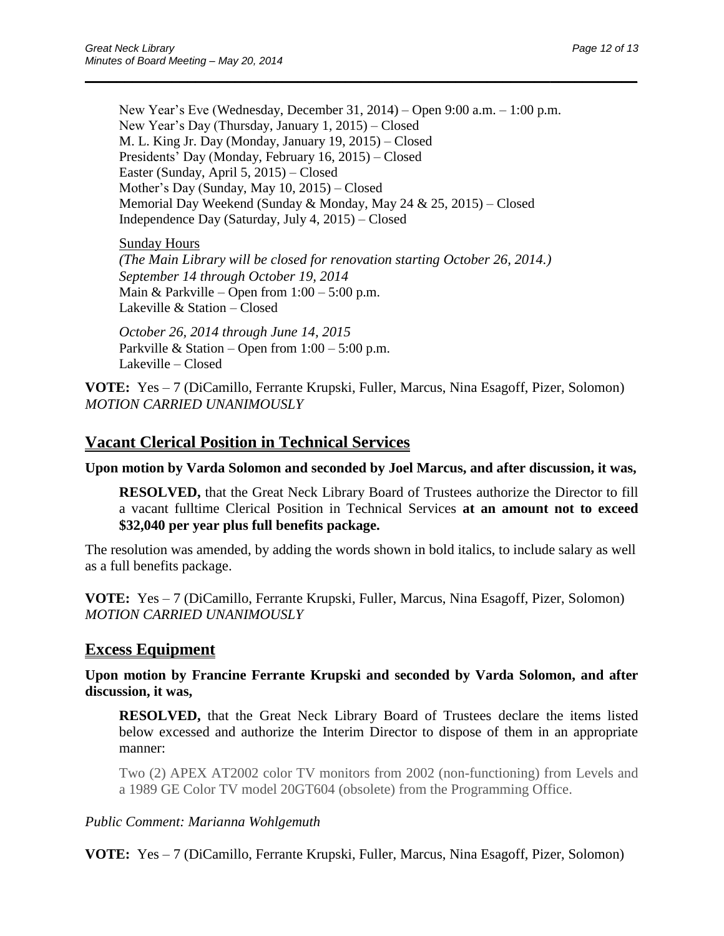New Year's Eve (Wednesday, December 31, 2014) – Open 9:00 a.m. – 1:00 p.m. New Year's Day (Thursday, January 1, 2015) – Closed M. L. King Jr. Day (Monday, January 19, 2015) – Closed Presidents' Day (Monday, February 16, 2015) – Closed Easter (Sunday, April 5, 2015) – Closed Mother's Day (Sunday, May 10, 2015) – Closed Memorial Day Weekend (Sunday & Monday, May 24 & 25, 2015) – Closed Independence Day (Saturday, July 4, 2015) – Closed

 $\overline{\phantom{a}}$  , and the contract of the contract of the contract of the contract of the contract of the contract of the contract of the contract of the contract of the contract of the contract of the contract of the contrac

#### Sunday Hours

*(The Main Library will be closed for renovation starting October 26, 2014.) September 14 through October 19, 2014* Main & Parkville – Open from  $1:00 - 5:00$  p.m. Lakeville & Station – Closed

*October 26, 2014 through June 14, 2015*  Parkville & Station – Open from  $1:00 - 5:00$  p.m. Lakeville – Closed

**VOTE:** Yes – 7 (DiCamillo, Ferrante Krupski, Fuller, Marcus, Nina Esagoff, Pizer, Solomon) *MOTION CARRIED UNANIMOUSLY*

### **Vacant Clerical Position in Technical Services**

**Upon motion by Varda Solomon and seconded by Joel Marcus, and after discussion, it was,**

**RESOLVED,** that the Great Neck Library Board of Trustees authorize the Director to fill a vacant fulltime Clerical Position in Technical Services **at an amount not to exceed \$32,040 per year plus full benefits package.**

The resolution was amended, by adding the words shown in bold italics, to include salary as well as a full benefits package.

**VOTE:** Yes – 7 (DiCamillo, Ferrante Krupski, Fuller, Marcus, Nina Esagoff, Pizer, Solomon) *MOTION CARRIED UNANIMOUSLY*

### **Excess Equipment**

**Upon motion by Francine Ferrante Krupski and seconded by Varda Solomon, and after discussion, it was,**

**RESOLVED,** that the Great Neck Library Board of Trustees declare the items listed below excessed and authorize the Interim Director to dispose of them in an appropriate manner:

Two (2) APEX AT2002 color TV monitors from 2002 (non-functioning) from Levels and a 1989 GE Color TV model 20GT604 (obsolete) from the Programming Office.

#### *Public Comment: Marianna Wohlgemuth*

**VOTE:** Yes – 7 (DiCamillo, Ferrante Krupski, Fuller, Marcus, Nina Esagoff, Pizer, Solomon)